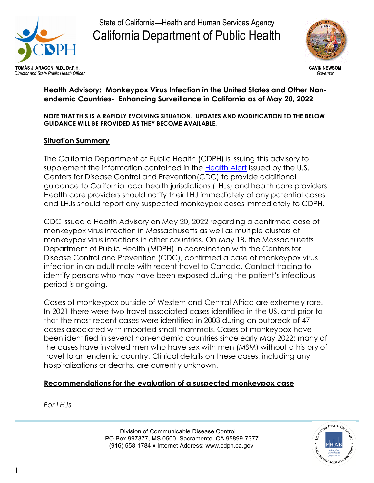

State of California—Health and Human Services Agency California Department of Public Health



### **Health Advisory: Monkeypox Virus Infection in the United States and Other Nonendemic Countries- Enhancing Surveillance in California as of May 20, 2022**

#### **NOTE THAT THIS IS A RAPIDLY EVOLVING SITUATION. UPDATES AND MODIFICATION TO THE BELOW GUIDANCE WILL BE PROVIDED AS THEY BECOME AVAILABLE.**

## **Situation Summary**

The California Department of Public Health (CDPH) is issuing this advisory to supplement the information contained in the [Health Alert](https://emergency.cdc.gov/han/2022/han00466.asp) issued by the U.S. Centers for Disease Control and Prevention(CDC) to provide additional guidance to California local health jurisdictions (LHJs) and health care providers. Health care providers should notify their LHJ immediately of any potential cases and LHJs should report any suspected monkeypox cases immediately to CDPH.

CDC issued a Health Advisory on May 20, 2022 regarding a confirmed case of monkeypox virus infection in Massachusetts as well as multiple clusters of monkeypox virus infections in other countries. On May 18, the Massachusetts Department of Public Health (MDPH) in coordination with the Centers for Disease Control and Prevention (CDC), confirmed a case of monkeypox virus infection in an adult male with recent travel to Canada. Contact tracing to identify persons who may have been exposed during the patient's infectious period is ongoing.

Cases of monkeypox outside of Western and Central Africa are extremely rare. In 2021 there were two travel associated cases identified in the US, and prior to that the most recent cases were identified in 2003 during an outbreak of 47 cases associated with imported small mammals. Cases of monkeypox have been identified in several non-endemic countries since early May 2022; many of the cases have involved men who have sex with men (MSM) without a history of travel to an endemic country. Clinical details on these cases, including any hospitalizations or deaths, are currently unknown.

### **Recommendations for the evaluation of a suspected monkeypox case**

*For LHJs*

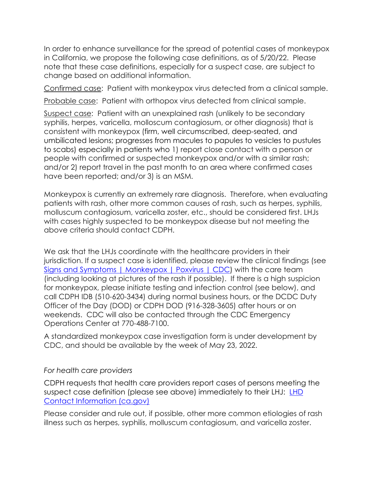In order to enhance surveillance for the spread of potential cases of monkeypox in California, we propose the following case definitions, as of 5/20/22. Please note that these case definitions, especially for a suspect case, are subject to change based on additional information.

Confirmed case: Patient with monkeypox virus detected from a clinical sample.

Probable case: Patient with orthopox virus detected from clinical sample.

Suspect case: Patient with an unexplained rash (unlikely to be secondary syphilis, herpes, varicella, molloscum contagiosum, or other diagnosis) that is consistent with monkeypox (firm, well circumscribed, deep-seated, and umbilicated lesions; progresses from macules to papules to vesicles to pustules to scabs) especially in patients who 1) report close contact with a person or people with confirmed or suspected monkeypox and/or with a similar rash; and/or 2) report travel in the past month to an area where confirmed cases have been reported; and/or 3) is an MSM.

Monkeypox is currently an extremely rare diagnosis. Therefore, when evaluating patients with rash, other more common causes of rash, such as herpes, syphilis, molluscum contagiosum, varicella zoster, etc., should be considered first. LHJs with cases highly suspected to be monkeypox disease but not meeting the above criteria should contact CDPH.

We ask that the LHJs coordinate with the healthcare providers in their jurisdiction. If a suspect case is identified, please review the clinical findings (see [Signs and Symptoms | Monkeypox | Poxvirus | CDC\)](https://www.cdc.gov/poxvirus/monkeypox/symptoms.html) with the care team (including looking at pictures of the rash if possible). If there is a high suspicion for monkeypox, please initiate testing and infection control (see below), and call CDPH IDB (510-620-3434) during normal business hours, or the DCDC Duty Officer of the Day (DOD) or CDPH DOD (916-328-3605) after hours or on weekends. CDC will also be contacted through the CDC Emergency Operations Center at 770-488-7100.

A standardized monkeypox case investigation form is under development by CDC, and should be available by the week of May 23, 2022.

# *For health care providers*

CDPH requests that health care providers report cases of persons meeting the suspect case definition (please see above) immediately to their LHJ: [LHD](https://www.cdph.ca.gov/Programs/CCLHO/Pages/LHD%20Contact%20Information.aspx)  [Contact Information \(ca.gov\)](https://www.cdph.ca.gov/Programs/CCLHO/Pages/LHD%20Contact%20Information.aspx)

Please consider and rule out, if possible, other more common etiologies of rash illness such as herpes, syphilis, molluscum contagiosum, and varicella zoster.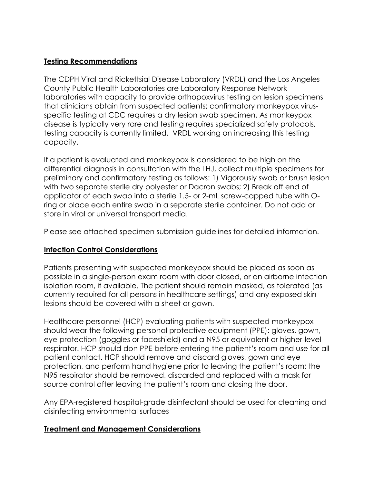## **Testing Recommendations**

The CDPH Viral and Rickettsial Disease Laboratory (VRDL) and the Los Angeles County Public Health Laboratories are Laboratory Response Network laboratories with capacity to provide orthopoxvirus testing on lesion specimens that clinicians obtain from suspected patients; confirmatory monkeypox virusspecific testing at CDC requires a dry lesion swab specimen. As monkeypox disease is typically very rare and testing requires specialized safety protocols, testing capacity is currently limited. VRDL working on increasing this testing capacity.

If a patient is evaluated and monkeypox is considered to be high on the differential diagnosis in consultation with the LHJ, collect multiple specimens for preliminary and confirmatory testing as follows: 1) Vigorously swab or brush lesion with two separate sterile dry polyester or Dacron swabs; 2) Break off end of applicator of each swab into a sterile 1.5- or 2-mL screw-capped tube with Oring or place each entire swab in a separate sterile container. Do not add or store in viral or universal transport media.

Please see attached specimen submission guidelines for detailed information.

# **Infection Control Considerations**

Patients presenting with suspected monkeypox should be placed as soon as possible in a single-person exam room with door closed, or an airborne infection isolation room, if available. The patient should remain masked, as tolerated (as currently required for all persons in healthcare settings) and any exposed skin lesions should be covered with a sheet or gown.

Healthcare personnel (HCP) evaluating patients with suspected monkeypox should wear the following personal protective equipment (PPE): gloves, gown, eye protection (goggles or faceshield) and a N95 or equivalent or higher-level respirator. HCP should don PPE before entering the patient's room and use for all patient contact. HCP should remove and discard gloves, gown and eye protection, and perform hand hygiene prior to leaving the patient's room; the N95 respirator should be removed, discarded and replaced with a mask for source control after leaving the patient's room and closing the door.

Any EPA-registered hospital-grade disinfectant should be used for cleaning and disinfecting environmental surfaces

# **Treatment and Management Considerations**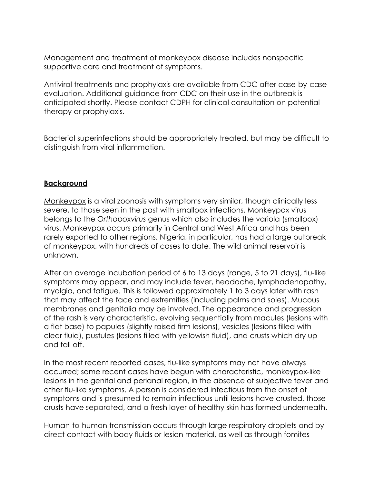Management and treatment of monkeypox disease includes nonspecific supportive care and treatment of symptoms.

Antiviral treatments and prophylaxis are available from CDC after case-by-case evaluation. Additional guidance from CDC on their use in the outbreak is anticipated shortly. Please contact CDPH for clinical consultation on potential therapy or prophylaxis.

Bacterial superinfections should be appropriately treated, but may be difficult to distinguish from viral inflammation.

### **Background**

[Monkeypox](https://www.cdc.gov/poxvirus/monkeypox/) is a viral zoonosis with symptoms very similar, though clinically less severe, to those seen in the past with smallpox infections. Monkeypox virus belongs to the *Orthopoxvirus* genus which also includes the variola (smallpox) virus. Monkeypox occurs primarily in Central and West Africa and has been rarely exported to other regions. Nigeria, in particular, has had a large outbreak of monkeypox, with hundreds of cases to date. The wild animal reservoir is unknown.

After an average incubation period of 6 to 13 days (range, 5 to 21 days), flu-like symptoms may appear, and may include fever, headache, lymphadenopathy, myalgia, and fatigue. This is followed approximately 1 to 3 days later with rash that may affect the face and extremities (including palms and soles). Mucous membranes and genitalia may be involved. The appearance and progression of the rash is very characteristic, evolving sequentially from macules (lesions with a flat base) to papules (slightly raised firm lesions), vesicles (lesions filled with clear fluid), pustules (lesions filled with yellowish fluid), and crusts which dry up and fall off.

In the most recent reported cases, flu-like symptoms may not have always occurred; some recent cases have begun with characteristic, monkeypox-like lesions in the genital and perianal region, in the absence of subjective fever and other flu-like symptoms. A person is considered infectious from the onset of symptoms and is presumed to remain infectious until lesions have crusted, those crusts have separated, and a fresh layer of healthy skin has formed underneath.

Human-to-human transmission occurs through large respiratory droplets and by direct contact with body fluids or lesion material, as well as through fomites